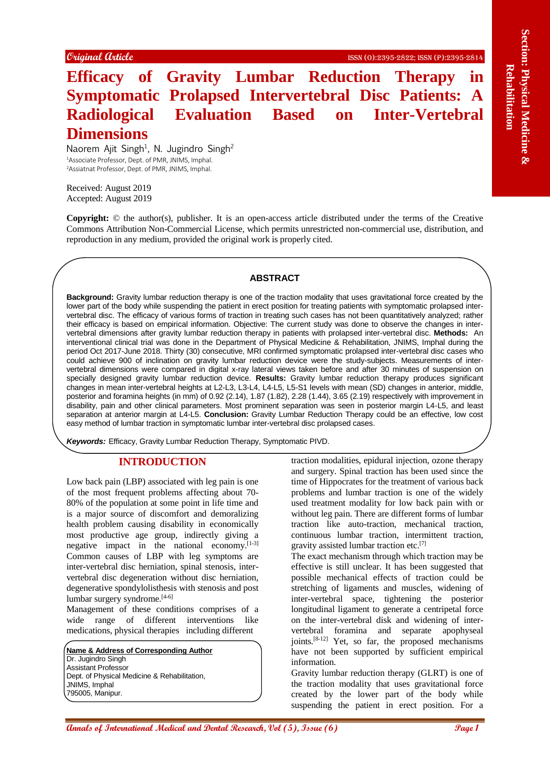# **Efficacy of Gravity Lumbar Reduction Therapy in Symptomatic Prolapsed Intervertebral Disc Patients: A Radiological Evaluation Based on Inter-Vertebral Dimensions**

Naorem Ajit Singh<sup>1</sup>, N. Jugindro Singh<sup>2</sup> <sup>1</sup>Associate Professor, Dept. of PMR, JNIMS, Imphal. <sup>2</sup>Assiatnat Professor, Dept. of PMR, JNIMS, Imphal.

Received: August 2019 Accepted: August 2019

**Copyright:** © the author(s), publisher. It is an open-access article distributed under the terms of the Creative Commons Attribution Non-Commercial License, which permits unrestricted non-commercial use, distribution, and reproduction in any medium, provided the original work is properly cited.

# **ABSTRACT**

**Contained Conformational Conformational Medical and The Except Conformational Medical and The Except Conformation Conformation Conformation Conformation Conformation Conformation Conformation Conformation Conformation Co Background:** Gravity lumbar reduction therapy is one of the traction modality that uses gravitational force created by the lower part of the body while suspending the patient in erect position for treating patients with symptomatic prolapsed intervertebral disc. The efficacy of various forms of traction in treating such cases has not been quantitatively analyzed; rather their efficacy is based on empirical information. Objective: The current study was done to observe the changes in intervertebral dimensions after gravity lumbar reduction therapy in patients with prolapsed inter-vertebral disc. **Methods:** An interventional clinical trial was done in the Department of Physical Medicine & Rehabilitation, JNIMS, Imphal during the period Oct 2017-June 2018. Thirty (30) consecutive, MRI confirmed symptomatic prolapsed inter-vertebral disc cases who could achieve 900 of inclination on gravity lumbar reduction device were the study-subjects. Measurements of intervertebral dimensions were compared in digital x-ray lateral views taken before and after 30 minutes of suspension on specially designed gravity lumbar reduction device. **Results:** Gravity lumbar reduction therapy produces significant changes in mean inter-vertebral heights at L2-L3, L3-L4, L4-L5, L5-S1 levels with mean (SD) changes in anterior, middle, posterior and foramina heights (in mm) of 0.92 (2.14), 1.87 (1.82), 2.28 (1.44), 3.65 (2.19) respectively with improvement in disability, pain and other clinical parameters. Most prominent separation was seen in posterior margin L4-L5, and least separation at anterior margin at L4-L5. **Conclusion:** Gravity Lumbar Reduction Therapy could be an effective, low cost easy method of lumbar traction in symptomatic lumbar inter-vertebral disc prolapsed cases.

*Keywords:* Efficacy, Gravity Lumbar Reduction Therapy, Symptomatic PIVD.

## **INTRODUCTION**

Low back pain (LBP) associated with leg pain is one of the most frequent problems affecting about 70- 80% of the population at some point in life time and is a major source of discomfort and demoralizing health problem causing disability in economically most productive age group, indirectly giving a negative impact in the national economy.<sup>[1-3]</sup> Common causes of LBP with leg symptoms are inter-vertebral disc herniation, spinal stenosis, intervertebral disc degeneration without disc herniation, degenerative spondylolisthesis with stenosis and post lumbar surgery syndrome.[4-6]

Management of these conditions comprises of a wide range of different interventions like medications, physical therapies including different

**Name & Address of Corresponding Author** Dr. Jugindro Singh Assistant Professor Dept. of Physical Medicine & Rehabilitation, JNIMS, Imphal 795005, Manipur.

traction modalities, epidural injection, ozone therapy and surgery. Spinal traction has been used since the time of Hippocrates for the treatment of various back problems and lumbar traction is one of the widely used treatment modality for low back pain with or without leg pain. There are different forms of lumbar traction like auto-traction, mechanical traction, continuous lumbar traction, intermittent traction, gravity assisted lumbar traction etc.[7]

The exact mechanism through which traction may be effective is still unclear. It has been suggested that possible mechanical effects of traction could be stretching of ligaments and muscles, widening of inter-vertebral space, tightening the posterior longitudinal ligament to generate a centripetal force on the inter-vertebral disk and widening of intervertebral foramina and separate apophyseal joints.[8-12] Yet, so far, the proposed mechanisms have not been supported by sufficient empirical information.

Gravity lumbar reduction therapy (GLRT) is one of the traction modality that uses gravitational force created by the lower part of the body while suspending the patient in erect position. For a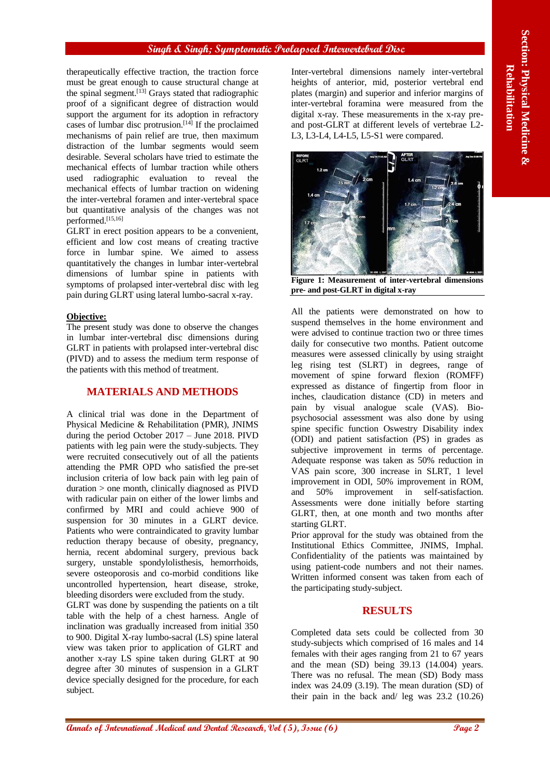#### **Singh & Singh; Symptomatic Prolapsed Intervertebral Disc**

therapeutically effective traction, the traction force must be great enough to cause structural change at the spinal segment.<sup>[13]</sup> Grays stated that radiographic proof of a significant degree of distraction would support the argument for its adoption in refractory cases of lumbar disc protrusion.<sup>[14]</sup> If the proclaimed mechanisms of pain relief are true, then maximum distraction of the lumbar segments would seem desirable. Several scholars have tried to estimate the mechanical effects of lumbar traction while others used radiographic evaluation to reveal the mechanical effects of lumbar traction on widening the inter-vertebral foramen and inter-vertebral space but quantitative analysis of the changes was not performed.[15,16]

GLRT in erect position appears to be a convenient, efficient and low cost means of creating tractive force in lumbar spine. We aimed to assess quantitatively the changes in lumbar inter-vertebral dimensions of lumbar spine in patients with symptoms of prolapsed inter-vertebral disc with leg pain during GLRT using lateral lumbo-sacral x-ray.

# **Objective:**

The present study was done to observe the changes in lumbar inter-vertebral disc dimensions during GLRT in patients with prolapsed inter-vertebral disc (PIVD) and to assess the medium term response of the patients with this method of treatment.

#### **MATERIALS AND METHODS**

A clinical trial was done in the Department of Physical Medicine & Rehabilitation (PMR), JNIMS during the period October 2017 – June 2018. PIVD patients with leg pain were the study-subjects. They were recruited consecutively out of all the patients attending the PMR OPD who satisfied the pre-set inclusion criteria of low back pain with leg pain of duration > one month, clinically diagnosed as PIVD with radicular pain on either of the lower limbs and confirmed by MRI and could achieve 900 of suspension for 30 minutes in a GLRT device. Patients who were contraindicated to gravity lumbar reduction therapy because of obesity, pregnancy, hernia, recent abdominal surgery, previous back surgery, unstable spondylolisthesis, hemorrhoids, severe osteoporosis and co-morbid conditions like uncontrolled hypertension, heart disease, stroke, bleeding disorders were excluded from the study.

GLRT was done by suspending the patients on a tilt table with the help of a chest harness. Angle of inclination was gradually increased from initial 350 to 900. Digital X-ray lumbo-sacral (LS) spine lateral view was taken prior to application of GLRT and another x-ray LS spine taken during GLRT at 90 degree after 30 minutes of suspension in a GLRT device specially designed for the procedure, for each subject.

Inter-vertebral dimensions namely inter-vertebral heights of anterior, mid, posterior vertebral end plates (margin) and superior and inferior margins of inter-vertebral foramina were measured from the digital x-ray. These measurements in the x-ray preand post-GLRT at different levels of vertebrae L2- L3, L3-L4, L4-L5, L5-S1 were compared.



**Figure 1: Measurement of inter-vertebral dimensions pre- and post-GLRT in digital x-ray**

**Annals of Equipment** is the control of the control of the state of Bernard Control of the control of the control of the state of Dental Annals of the Control of The Control of The Control of The Control of The Control of All the patients were demonstrated on how to suspend themselves in the home environment and were advised to continue traction two or three times daily for consecutive two months. Patient outcome measures were assessed clinically by using straight leg rising test (SLRT) in degrees, range of movement of spine forward flexion (ROMFF) expressed as distance of fingertip from floor in inches, claudication distance (CD) in meters and pain by visual analogue scale (VAS). Biopsychosocial assessment was also done by using spine specific function Oswestry Disability index (ODI) and patient satisfaction (PS) in grades as subjective improvement in terms of percentage. Adequate response was taken as 50% reduction in VAS pain score, 300 increase in SLRT, 1 level improvement in ODI, 50% improvement in ROM, and 50% improvement in self-satisfaction. Assessments were done initially before starting GLRT, then, at one month and two months after starting GLRT.

Prior approval for the study was obtained from the Institutional Ethics Committee, JNIMS, Imphal. Confidentiality of the patients was maintained by using patient-code numbers and not their names. Written informed consent was taken from each of the participating study-subject.

# **RESULTS**

Completed data sets could be collected from 30 study-subjects which comprised of 16 males and 14 females with their ages ranging from 21 to 67 years and the mean (SD) being 39.13 (14.004) years. There was no refusal. The mean (SD) Body mass index was 24.09 (3.19). The mean duration (SD) of their pain in the back and/ leg was 23.2 (10.26)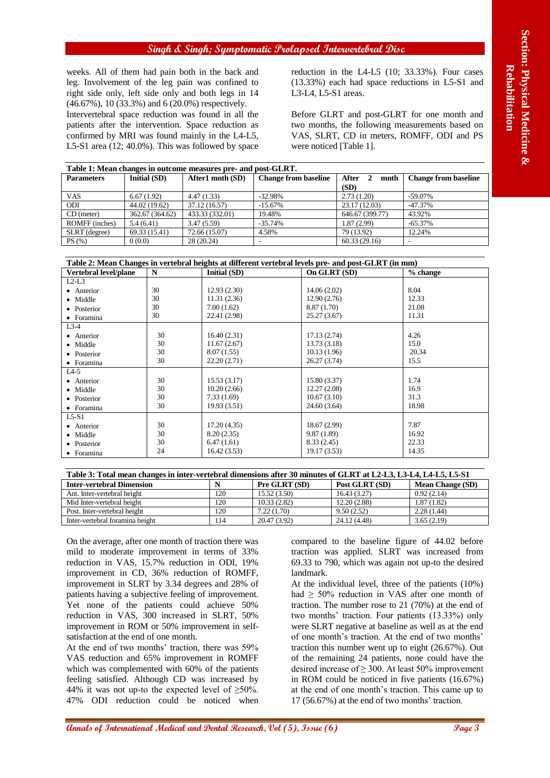#### **Singh & Singh; Symptomatic Prolapsed Intervertebral Disc**

| Table 1: Mean changes in outcome measures pre- and post-GLRT. |                 |                  |                             |                 |                             |  |  |  |  |
|---------------------------------------------------------------|-----------------|------------------|-----------------------------|-----------------|-----------------------------|--|--|--|--|
| <b>Parameters</b>                                             | Initial (SD)    | After1 mnth (SD) | <b>Change from baseline</b> | After 2<br>mnth | <b>Change from baseline</b> |  |  |  |  |
|                                                               |                 |                  |                             | (SD)            |                             |  |  |  |  |
| <b>VAS</b>                                                    | 6.67(1.92)      | 4.47(1.33)       | $-32.98%$                   | 2.73(1.20)      | $-59.07\%$                  |  |  |  |  |
| ODI                                                           | 44.02 (19.62)   | 37.12 (16.57)    | $-15.67%$                   | 23.17 (12.03)   | $-47.37%$                   |  |  |  |  |
| $CD$ (meter)                                                  | 362.67 (364.62) | 433.33 (332.01)  | 19.48%                      | 646.67 (399.77) | 43.92%                      |  |  |  |  |
| ROMFF (inches)                                                | 5.4(6.41)       | 3.47(5.59)       | $-35.74%$                   | 1.87 (2.99)     | $-65.37\%$                  |  |  |  |  |
| SLRT (degree)                                                 | 69.33 (15.41)   | 72.66 (15.07)    | 4.58%                       | 79 (13.92)      | 12.24%                      |  |  |  |  |
| PS(%)                                                         | 0(0.0)          | 28 (20.24)       |                             | 60.33(29.16)    |                             |  |  |  |  |

| Table 2: Mean Changes in vertebral heights at different vertebral levels pre- and post-GLRT (in mm) |  |
|-----------------------------------------------------------------------------------------------------|--|

|                                                                                                        |            |                                  |            |                                 |                             |                             | Singh & Singh; Symptomatic Prolapsed Intervertebral Disc                                                         |                                                                                                  |
|--------------------------------------------------------------------------------------------------------|------------|----------------------------------|------------|---------------------------------|-----------------------------|-----------------------------|------------------------------------------------------------------------------------------------------------------|--------------------------------------------------------------------------------------------------|
| weeks. All of them had pain both in the back and                                                       |            |                                  |            |                                 |                             |                             |                                                                                                                  | reduction in the L4-L5 (10; 33.33%). Four cases                                                  |
| (13.33%) each had space reductions in L5-S1 and<br>leg. Involvement of the leg pain was confined to    |            |                                  |            |                                 |                             |                             |                                                                                                                  |                                                                                                  |
| right side only, left side only and both legs in 14                                                    |            |                                  |            |                                 |                             | $L3-L4$ , $L5-S1$ areas.    |                                                                                                                  |                                                                                                  |
| (46.67%), 10 (33.3%) and 6 (20.0%) respectively.                                                       |            |                                  |            |                                 |                             |                             |                                                                                                                  |                                                                                                  |
| Intervertebral space reduction was found in all the                                                    |            |                                  |            |                                 |                             |                             |                                                                                                                  | Before GLRT and post-GLRT for one month and                                                      |
| patients after the intervention. Space reduction as<br>confirmed by MRI was found mainly in the L4-L5, |            |                                  |            |                                 |                             |                             |                                                                                                                  | two months, the following measurements based on                                                  |
| L5-S1 area (12; 40.0%). This was followed by space                                                     |            |                                  |            |                                 |                             |                             | were noticed [Table 1].                                                                                          | VAS, SLRT, CD in meters, ROMFF, ODI and PS                                                       |
|                                                                                                        |            |                                  |            |                                 |                             |                             |                                                                                                                  |                                                                                                  |
| Table 1: Mean changes in outcome measures pre- and post-GLRT.<br><b>Parameters</b>                     |            | Initial (SD)                     |            | After1 mnth (SD)                | <b>Change from baseline</b> |                             | After<br>2<br>mnth                                                                                               | <b>Change from baseline</b>                                                                      |
|                                                                                                        |            |                                  |            |                                 |                             | (SD)                        |                                                                                                                  |                                                                                                  |
| <b>VAS</b>                                                                                             | 6.67(1.92) |                                  | 4.47(1.33) |                                 | $-32.98%$                   |                             | 2.73(1.20)                                                                                                       | $-59.07%$                                                                                        |
| ODI<br>CD (meter)                                                                                      |            | 44.02 (19.62)<br>362.67 (364.62) |            | 37.12(16.57)<br>433.33 (332.01) | $-15.67%$<br>19.48%         |                             | 23.17 (12.03)<br>646.67 (399.77)                                                                                 | $-47.37%$<br>43.92%                                                                              |
| ROMFF (inches)                                                                                         | 5.4(6.41)  |                                  | 3.47(5.59) |                                 | $-35.74%$                   |                             | 1.87(2.99)                                                                                                       | $-65.37%$                                                                                        |
| SLRT (degree)                                                                                          |            | 69.33 (15.41)                    |            | 72.66 (15.07)                   | 4.58%                       |                             | 79 (13.92)                                                                                                       | 12.24%                                                                                           |
| PS (%)                                                                                                 | 0(0.0)     |                                  | 28 (20.24) |                                 |                             |                             | 60.33 (29.16)                                                                                                    |                                                                                                  |
|                                                                                                        |            |                                  |            |                                 |                             |                             | Table 2: Mean Changes in vertebral heights at different vertebral levels pre- and post-GLRT (in mm)              |                                                                                                  |
| Vertebral level/plane                                                                                  |            | N                                |            | Initial (SD)                    |                             | On GLRT (SD)                |                                                                                                                  | % change                                                                                         |
| $L2-L3$<br>• Anterior                                                                                  |            | 30                               |            | 12.93 (2.30)                    |                             | 14.06(2.02)                 |                                                                                                                  | 8.04                                                                                             |
| • Middle                                                                                               |            | 30                               |            | 11.31(2.36)                     |                             | 12.90(2.76)                 |                                                                                                                  | 12.33                                                                                            |
| • Posterior                                                                                            |            | 30                               |            | 7.00(1.62)                      |                             | 8.87 (1.70)                 |                                                                                                                  | 21.08                                                                                            |
| • Foramina                                                                                             |            | 30                               |            | 22.41 (2.98)                    |                             | 25.27 (3.67)                |                                                                                                                  | 11.31                                                                                            |
| $L3-4$                                                                                                 |            | 30                               |            | 16.40(2.31)                     |                             | 17.13(2.74)                 |                                                                                                                  | 4.26                                                                                             |
| • Anterior<br>· Middle                                                                                 |            | 30                               |            | 11.67(2.67)                     |                             | 13.73 (3.18)                |                                                                                                                  | 15.0                                                                                             |
| • Posterior                                                                                            |            | 30                               |            | 8.07(1.55)                      |                             | 10.13(1.96)                 |                                                                                                                  | 20.34                                                                                            |
| • Foramina                                                                                             |            | 30                               |            | 22.20(2.71)                     |                             | 26.27 (3.74)                |                                                                                                                  | 15.5                                                                                             |
| $L4-5$                                                                                                 |            |                                  |            |                                 |                             |                             |                                                                                                                  |                                                                                                  |
| • Anterior<br>• Middle                                                                                 |            | 30<br>30                         |            | 15.53(3.17)<br>10.20(2.66)      |                             | 15.80 (3.37)<br>12.27(2.08) |                                                                                                                  | 1.74<br>16.9                                                                                     |
| • Posterior                                                                                            |            | 30                               |            | 7.33(1.69)                      |                             | 10.67(3.10)                 |                                                                                                                  | 31.3                                                                                             |
| • Foramina                                                                                             |            | 30                               |            | 19.93(3.51)                     |                             | 24.60 (3.64)                |                                                                                                                  | 18.98                                                                                            |
| $L5-S1$                                                                                                |            | 30                               |            |                                 |                             |                             |                                                                                                                  | 7.87                                                                                             |
| • Anterior<br>• Middle                                                                                 |            | 30                               |            | 17.20 (4.35)<br>8.20(2.35)      |                             | 18.67 (2.99)<br>9.87(1.89)  |                                                                                                                  | 16.92                                                                                            |
| • Posterior                                                                                            |            | 30                               |            | 6.47(1.61)                      |                             | 8.33 (2.45)                 |                                                                                                                  | 22.33                                                                                            |
| • Foramina                                                                                             |            | 24                               |            | 16.42(3.53)                     |                             | 19.17 (3.53)                |                                                                                                                  | 14.35                                                                                            |
|                                                                                                        |            |                                  |            |                                 |                             |                             | Table 3: Total mean changes in inter-vertebral dimensions after 30 minutes of GLRT at L2-L3, L3-L4, L4-L5, L5-S1 |                                                                                                  |
| <b>Inter-vertebral Dimension</b>                                                                       |            |                                  |            | N                               | Pre GLRT (SD)               |                             | Post GLRT (SD)                                                                                                   | <b>Mean Change (SD)</b>                                                                          |
| Ant. Inter-vertebral height                                                                            |            |                                  |            | 120                             | 15.52 (3.50)                |                             | 16.43(3.27)                                                                                                      | 0.92(2.14)                                                                                       |
| Mid Inter-vertebral height<br>Post. Inter-vertebral height                                             |            |                                  |            | 120<br>120                      | 10.33 (2.82)<br>7.22(1.70)  |                             | 12.20 (2.88)<br>9.50(2.52)                                                                                       | 1.87(1.82)<br>2.28(1.44)                                                                         |
| Inter-vertebral foramina height                                                                        |            |                                  |            | 114                             | 20.47(3.92)                 |                             | 24.12 (4.48)                                                                                                     | 3.65(2.19)                                                                                       |
|                                                                                                        |            |                                  |            |                                 |                             |                             |                                                                                                                  |                                                                                                  |
| On the average, after one month of traction there was<br>mild to moderate improvement in terms of 33%  |            |                                  |            |                                 |                             |                             |                                                                                                                  | compared to the baseline figure of 44.02 before<br>traction was applied. SLRT was increased from |
| reduction in VAS, 15.7% reduction in ODI, 19%                                                          |            |                                  |            |                                 |                             |                             |                                                                                                                  | 69.33 to 790, which was again not up-to the desired                                              |
| improvement in CD, 36% reduction of ROMFF,                                                             |            |                                  |            |                                 |                             | landmark.                   |                                                                                                                  |                                                                                                  |
| improvement in SLRT by 3.34 degrees and 28% of                                                         |            |                                  |            |                                 |                             |                             |                                                                                                                  | At the individual level, three of the patients $(10\%)$                                          |
| patients having a subjective feeling of improvement.                                                   |            |                                  |            |                                 |                             |                             |                                                                                                                  | had $\geq$ 50% reduction in VAS after one month of                                               |
| Yet none of the patients could achieve 50%                                                             |            |                                  |            |                                 |                             |                             |                                                                                                                  | traction. The number rose to 21 $(70%)$ at the end of                                            |
| reduction in VAS, 300 increased in SLRT, 50%                                                           |            |                                  |            |                                 |                             |                             |                                                                                                                  | two months' traction. Four patients (13.33%) only                                                |
| improvement in ROM or 50% improvement in self-                                                         |            |                                  |            |                                 |                             |                             |                                                                                                                  | were SLRT negative at baseline as well as at the end                                             |
| satisfaction at the end of one month.                                                                  |            |                                  |            |                                 |                             |                             |                                                                                                                  | of one month's traction. At the end of two months'                                               |
| At the end of two months' traction, there was 59%                                                      |            |                                  |            |                                 |                             |                             |                                                                                                                  | traction this number went up to eight (26.67%). Out                                              |
| VAS reduction and 65% improvement in ROMFF                                                             |            |                                  |            |                                 |                             |                             |                                                                                                                  | of the remaining 24 patients, none could have the                                                |
| which was complemented with 60% of the patients                                                        |            |                                  |            |                                 |                             |                             |                                                                                                                  | desired increase of $\geq$ 300. At least 50% improvement                                         |
| feeling satisfied. Although CD was increased by                                                        |            |                                  |            |                                 |                             |                             |                                                                                                                  | in ROM could be noticed in five patients (16.67%)                                                |
| 44% it was not up-to the expected level of $\geq$ 50%.                                                 |            |                                  |            |                                 |                             |                             |                                                                                                                  | at the end of one month's traction. This came up to                                              |
| 47% ODI reduction could be noticed when                                                                |            |                                  |            |                                 |                             |                             | 17 (56.67%) at the end of two months' traction.                                                                  |                                                                                                  |
|                                                                                                        |            |                                  |            |                                 |                             |                             |                                                                                                                  |                                                                                                  |
| <b>annals of International Medical and Dental Research, Vol (5), Issue (6)</b>                         |            |                                  |            |                                 |                             |                             |                                                                                                                  | Page 3                                                                                           |

| <b>Inter-vertebral Dimension</b> |     | <b>Pre GLRT (SD)</b> | Post GLRT (SD) | <b>Mean Change (SD)</b> |
|----------------------------------|-----|----------------------|----------------|-------------------------|
| Ant. Inter-vertebral height      | 120 | 15.52(3.50)          | 16.43(3.27)    | 0.92(2.14)              |
| Mid Inter-vertebral height       | 120 | 10.33(2.82)          | 12.20 (2.88)   | 1.87(1.82)              |
| Post. Inter-vertebral height     | 120 | 7.22(1.70)           | 9.50(2.52)     | 2.28(1.44)              |
| Inter-vertebral foramina height  | 14  | 20.47 (3.92)         | 24.12 (4.48)   | 3.65(2.19)              |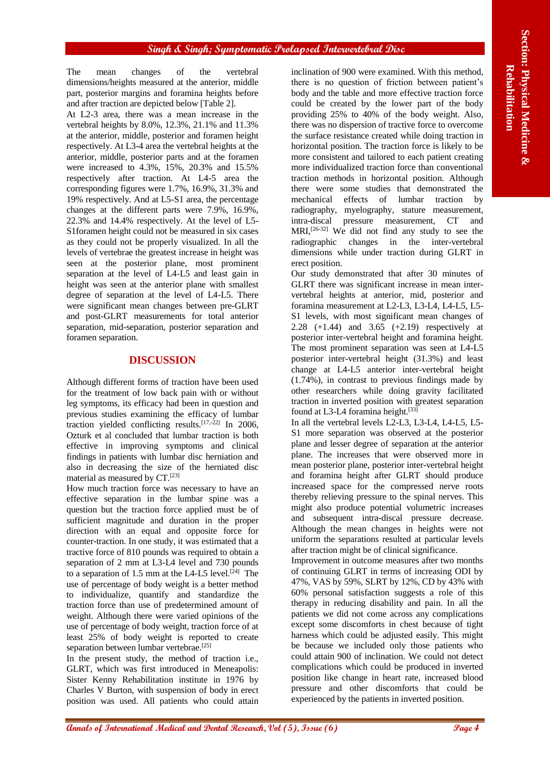The mean changes of the vertebral dimensions/heights measured at the anterior, middle part, posterior margins and foramina heights before and after traction are depicted below [Table 2].

**Annals of International Medical and The United States and The Content of Web and The Content of International Medical and Dental Annals of International Medicine Content of The Content of The Content of The Content of Th** At L2-3 area, there was a mean increase in the vertebral heights by 8.0%, 12.3%, 21.1% and 11.3% at the anterior, middle, posterior and foramen height respectively. At L3-4 area the vertebral heights at the anterior, middle, posterior parts and at the foramen were increased to 4.3%, 15%, 20.3% and 15.5% respectively after traction. At L4-5 area the corresponding figures were 1.7%, 16.9%, 31.3% and 19% respectively. And at L5-S1 area, the percentage changes at the different parts were 7.9%, 16.9%, 22.3% and 14.4% respectively. At the level of L5- S1foramen height could not be measured in six cases as they could not be properly visualized. In all the levels of vertebrae the greatest increase in height was seen at the posterior plane, most prominent separation at the level of L4-L5 and least gain in height was seen at the anterior plane with smallest degree of separation at the level of L4-L5. There were significant mean changes between pre-GLRT and post-GLRT measurements for total anterior separation, mid-separation, posterior separation and foramen separation.

# **DISCUSSION**

Although different forms of traction have been used for the treatment of low back pain with or without leg symptoms, its efficacy had been in question and previous studies examining the efficacy of lumbar traction yielded conflicting results.<sup>[17,-22]</sup> In 2006, Ozturk et al concluded that lumbar traction is both effective in improving symptoms and clinical findings in patients with lumbar disc herniation and also in decreasing the size of the herniated disc material as measured by CT.[23]

How much traction force was necessary to have an effective separation in the lumbar spine was a question but the traction force applied must be of sufficient magnitude and duration in the proper direction with an equal and opposite force for counter-traction. In one study, it was estimated that a tractive force of 810 pounds was required to obtain a separation of 2 mm at L3-L4 level and 730 pounds to a separation of 1.5 mm at the L4-L5 level. $[24]$  The use of percentage of body weight is a better method to individualize, quantify and standardize the traction force than use of predetermined amount of weight. Although there were varied opinions of the use of percentage of body weight, traction force of at least 25% of body weight is reported to create separation between lumbar vertebrae.<sup>[25]</sup>

In the present study, the method of traction i.e., GLRT, which was first introduced in Meneapolis: Sister Kenny Rehabilitation institute in 1976 by Charles V Burton, with suspension of body in erect position was used. All patients who could attain

inclination of 900 were examined. With this method, there is no question of friction between patient's body and the table and more effective traction force could be created by the lower part of the body providing 25% to 40% of the body weight. Also, there was no dispersion of tractive force to overcome the surface resistance created while doing traction in horizontal position. The traction force is likely to be more consistent and tailored to each patient creating more individualized traction force than conventional traction methods in horizontal position. Although there were some studies that demonstrated the mechanical effects of lumbar traction by radiography, myelography, stature measurement, intra-discal pressure measurement, CT and MRI,<sup>[26-32]</sup> We did not find any study to see the radiographic changes in the inter-vertebral dimensions while under traction during GLRT in erect position.

Our study demonstrated that after 30 minutes of GLRT there was significant increase in mean intervertebral heights at anterior, mid, posterior and foramina measurement at L2-L3, L3-L4, L4-L5, L5- S1 levels, with most significant mean changes of 2.28 (+1.44) and 3.65 (+2.19) respectively at posterior inter-vertebral height and foramina height. The most prominent separation was seen at L4-L5 posterior inter-vertebral height (31.3%) and least change at L4-L5 anterior inter-vertebral height (1.74%), in contrast to previous findings made by other researchers while doing gravity facilitated traction in inverted position with greatest separation found at L3-L4 foramina height.<sup>[33]</sup>

In all the vertebral levels L2-L3, L3-L4, L4-L5, L5- S1 more separation was observed at the posterior plane and lesser degree of separation at the anterior plane. The increases that were observed more in mean posterior plane, posterior inter-vertebral height and foramina height after GLRT should produce increased space for the compressed nerve roots thereby relieving pressure to the spinal nerves. This might also produce potential volumetric increases and subsequent intra-discal pressure decrease. Although the mean changes in heights were not uniform the separations resulted at particular levels after traction might be of clinical significance.

Improvement in outcome measures after two months of continuing GLRT in terms of increasing ODI by 47%, VAS by 59%, SLRT by 12%, CD by 43% with 60% personal satisfaction suggests a role of this therapy in reducing disability and pain. In all the patients we did not come across any complications except some discomforts in chest because of tight harness which could be adjusted easily. This might be because we included only those patients who could attain 900 of inclination. We could not detect complications which could be produced in inverted position like change in heart rate, increased blood pressure and other discomforts that could be experienced by the patients in inverted position.